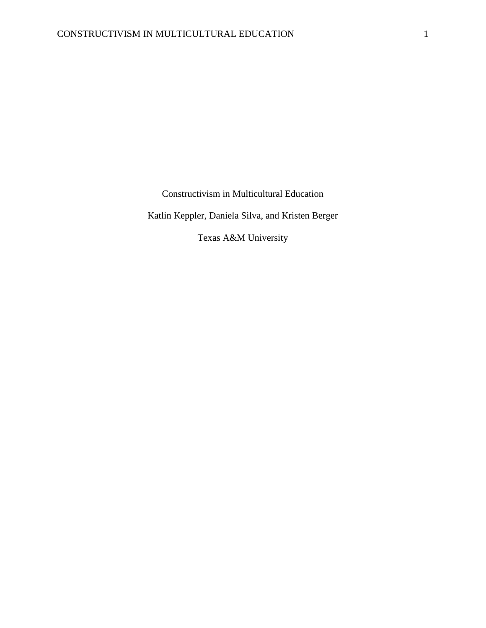Constructivism in Multicultural Education

Katlin Keppler, Daniela Silva, and Kristen Berger

Texas A&M University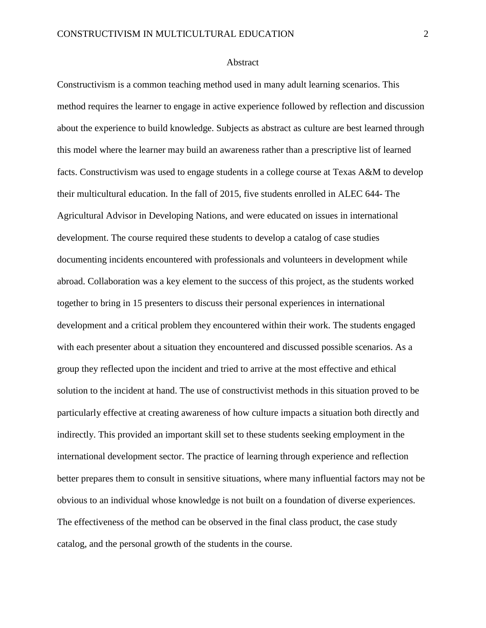## Abstract

Constructivism is a common teaching method used in many adult learning scenarios. This method requires the learner to engage in active experience followed by reflection and discussion about the experience to build knowledge. Subjects as abstract as culture are best learned through this model where the learner may build an awareness rather than a prescriptive list of learned facts. Constructivism was used to engage students in a college course at Texas A&M to develop their multicultural education. In the fall of 2015, five students enrolled in ALEC 644- The Agricultural Advisor in Developing Nations, and were educated on issues in international development. The course required these students to develop a catalog of case studies documenting incidents encountered with professionals and volunteers in development while abroad. Collaboration was a key element to the success of this project, as the students worked together to bring in 15 presenters to discuss their personal experiences in international development and a critical problem they encountered within their work. The students engaged with each presenter about a situation they encountered and discussed possible scenarios. As a group they reflected upon the incident and tried to arrive at the most effective and ethical solution to the incident at hand. The use of constructivist methods in this situation proved to be particularly effective at creating awareness of how culture impacts a situation both directly and indirectly. This provided an important skill set to these students seeking employment in the international development sector. The practice of learning through experience and reflection better prepares them to consult in sensitive situations, where many influential factors may not be obvious to an individual whose knowledge is not built on a foundation of diverse experiences. The effectiveness of the method can be observed in the final class product, the case study catalog, and the personal growth of the students in the course.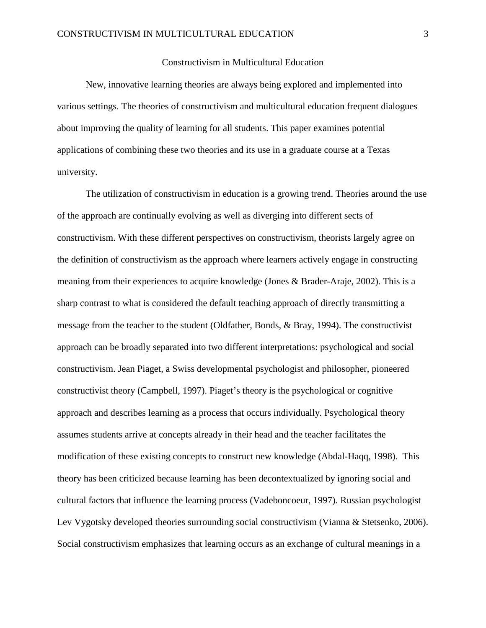## Constructivism in Multicultural Education

New, innovative learning theories are always being explored and implemented into various settings. The theories of constructivism and multicultural education frequent dialogues about improving the quality of learning for all students. This paper examines potential applications of combining these two theories and its use in a graduate course at a Texas university.

 The utilization of constructivism in education is a growing trend. Theories around the use of the approach are continually evolving as well as diverging into different sects of constructivism. With these different perspectives on constructivism, theorists largely agree on the definition of constructivism as the approach where learners actively engage in constructing meaning from their experiences to acquire knowledge (Jones & Brader-Araje, 2002). This is a sharp contrast to what is considered the default teaching approach of directly transmitting a message from the teacher to the student (Oldfather, Bonds, & Bray, 1994). The constructivist approach can be broadly separated into two different interpretations: psychological and social constructivism. Jean Piaget, a Swiss developmental psychologist and philosopher, pioneered constructivist theory (Campbell, 1997). Piaget's theory is the psychological or cognitive approach and describes learning as a process that occurs individually. Psychological theory assumes students arrive at concepts already in their head and the teacher facilitates the modification of these existing concepts to construct new knowledge (Abdal-Haqq, 1998). This theory has been criticized because learning has been decontextualized by ignoring social and cultural factors that influence the learning process (Vadeboncoeur, 1997). Russian psychologist Lev Vygotsky developed theories surrounding social constructivism (Vianna & Stetsenko, 2006). Social constructivism emphasizes that learning occurs as an exchange of cultural meanings in a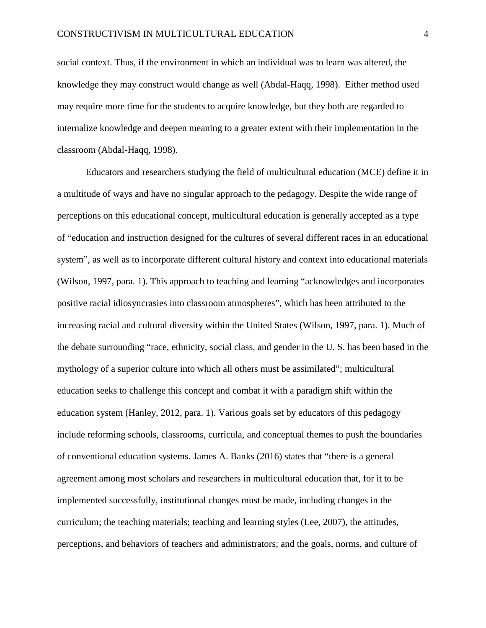social context. Thus, if the environment in which an individual was to learn was altered, the knowledge they may construct would change as well (Abdal-Haqq, 1998). Either method used may require more time for the students to acquire knowledge, but they both are regarded to internalize knowledge and deepen meaning to a greater extent with their implementation in the classroom (Abdal-Haqq, 1998).

Educators and researchers studying the field of multicultural education (MCE) define it in a multitude of ways and have no singular approach to the pedagogy. Despite the wide range of perceptions on this educational concept, multicultural education is generally accepted as a type of "education and instruction designed for the cultures of several different races in an educational system", as well as to incorporate different cultural history and context into educational materials (Wilson, 1997, para. 1). This approach to teaching and learning "acknowledges and incorporates positive racial idiosyncrasies into classroom atmospheres", which has been attributed to the increasing racial and cultural diversity within the United States (Wilson, 1997, para. 1). Much of the debate surrounding "race, ethnicity, social class, and gender in the U. S. has been based in the mythology of a superior culture into which all others must be assimilated"; multicultural education seeks to challenge this concept and combat it with a paradigm shift within the education system (Hanley, 2012, para. 1). Various goals set by educators of this pedagogy include reforming schools, classrooms, curricula, and conceptual themes to push the boundaries of conventional education systems. James A. Banks (2016) states that "there is a general agreement among most scholars and researchers in multicultural education that, for it to be implemented successfully, institutional changes must be made, including changes in the curriculum; the teaching materials; teaching and learning styles (Lee, 2007), the attitudes, perceptions, and behaviors of teachers and administrators; and the goals, norms, and culture of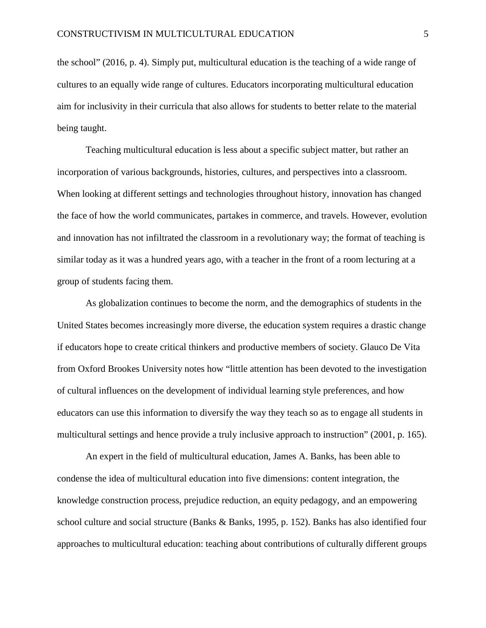the school" (2016, p. 4). Simply put, multicultural education is the teaching of a wide range of cultures to an equally wide range of cultures. Educators incorporating multicultural education aim for inclusivity in their curricula that also allows for students to better relate to the material being taught.

 Teaching multicultural education is less about a specific subject matter, but rather an incorporation of various backgrounds, histories, cultures, and perspectives into a classroom. When looking at different settings and technologies throughout history, innovation has changed the face of how the world communicates, partakes in commerce, and travels. However, evolution and innovation has not infiltrated the classroom in a revolutionary way; the format of teaching is similar today as it was a hundred years ago, with a teacher in the front of a room lecturing at a group of students facing them.

As globalization continues to become the norm, and the demographics of students in the United States becomes increasingly more diverse, the education system requires a drastic change if educators hope to create critical thinkers and productive members of society. Glauco De Vita from Oxford Brookes University notes how "little attention has been devoted to the investigation of cultural influences on the development of individual learning style preferences, and how educators can use this information to diversify the way they teach so as to engage all students in multicultural settings and hence provide a truly inclusive approach to instruction" (2001, p. 165).

An expert in the field of multicultural education, James A. Banks, has been able to condense the idea of multicultural education into five dimensions: content integration, the knowledge construction process, prejudice reduction, an equity pedagogy, and an empowering school culture and social structure (Banks & Banks, 1995, p. 152). Banks has also identified four approaches to multicultural education: teaching about contributions of culturally different groups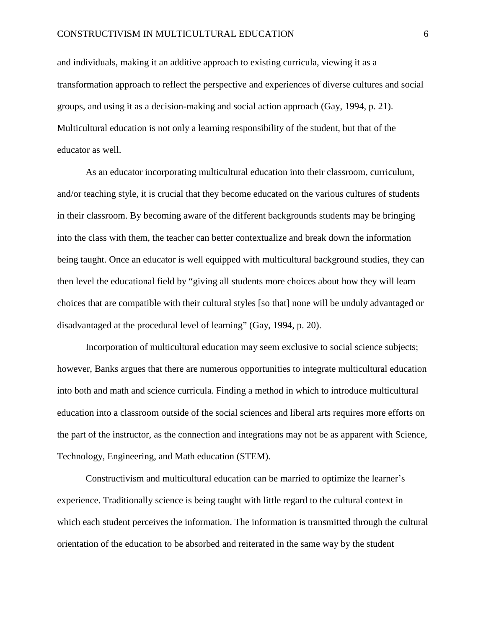and individuals, making it an additive approach to existing curricula, viewing it as a transformation approach to reflect the perspective and experiences of diverse cultures and social groups, and using it as a decision-making and social action approach (Gay, 1994, p. 21). Multicultural education is not only a learning responsibility of the student, but that of the educator as well.

As an educator incorporating multicultural education into their classroom, curriculum, and/or teaching style, it is crucial that they become educated on the various cultures of students in their classroom. By becoming aware of the different backgrounds students may be bringing into the class with them, the teacher can better contextualize and break down the information being taught. Once an educator is well equipped with multicultural background studies, they can then level the educational field by "giving all students more choices about how they will learn choices that are compatible with their cultural styles [so that] none will be unduly advantaged or disadvantaged at the procedural level of learning" (Gay, 1994, p. 20).

 Incorporation of multicultural education may seem exclusive to social science subjects; however, Banks argues that there are numerous opportunities to integrate multicultural education into both and math and science curricula. Finding a method in which to introduce multicultural education into a classroom outside of the social sciences and liberal arts requires more efforts on the part of the instructor, as the connection and integrations may not be as apparent with Science, Technology, Engineering, and Math education (STEM).

Constructivism and multicultural education can be married to optimize the learner's experience. Traditionally science is being taught with little regard to the cultural context in which each student perceives the information. The information is transmitted through the cultural orientation of the education to be absorbed and reiterated in the same way by the student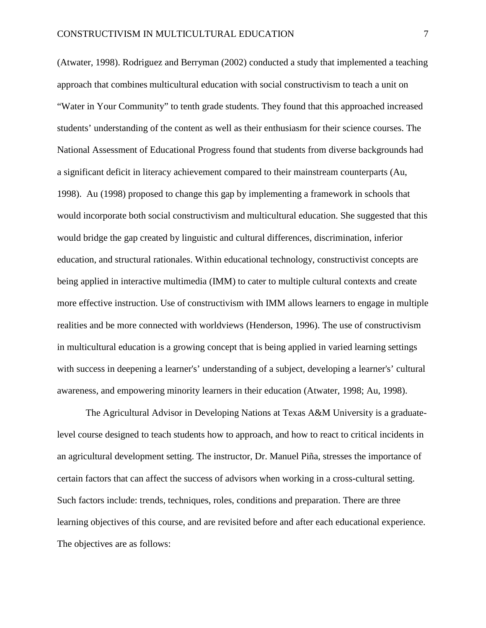(Atwater, 1998). Rodriguez and Berryman (2002) conducted a study that implemented a teaching approach that combines multicultural education with social constructivism to teach a unit on "Water in Your Community" to tenth grade students. They found that this approached increased students' understanding of the content as well as their enthusiasm for their science courses. The National Assessment of Educational Progress found that students from diverse backgrounds had a significant deficit in literacy achievement compared to their mainstream counterparts (Au, 1998). Au (1998) proposed to change this gap by implementing a framework in schools that would incorporate both social constructivism and multicultural education. She suggested that this would bridge the gap created by linguistic and cultural differences, discrimination, inferior education, and structural rationales. Within educational technology, constructivist concepts are being applied in interactive multimedia (IMM) to cater to multiple cultural contexts and create more effective instruction. Use of constructivism with IMM allows learners to engage in multiple realities and be more connected with worldviews (Henderson, 1996). The use of constructivism in multicultural education is a growing concept that is being applied in varied learning settings with success in deepening a learner's' understanding of a subject, developing a learner's' cultural awareness, and empowering minority learners in their education (Atwater, 1998; Au, 1998).

The Agricultural Advisor in Developing Nations at Texas A&M University is a graduatelevel course designed to teach students how to approach, and how to react to critical incidents in an agricultural development setting. The instructor, Dr. Manuel Piña, stresses the importance of certain factors that can affect the success of advisors when working in a cross-cultural setting. Such factors include: trends, techniques, roles, conditions and preparation. There are three learning objectives of this course, and are revisited before and after each educational experience. The objectives are as follows: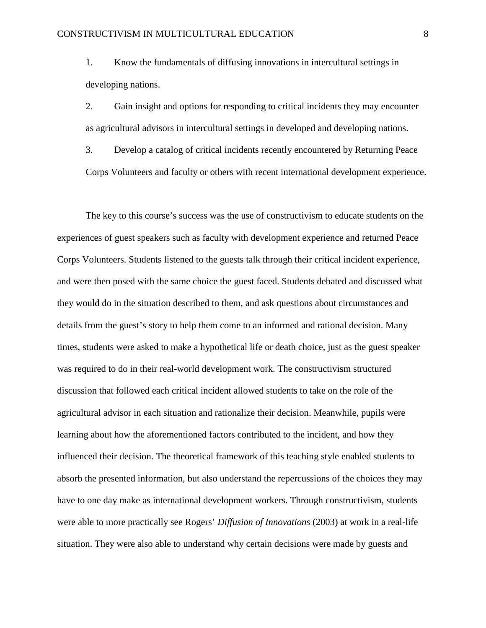1. Know the fundamentals of diffusing innovations in intercultural settings in developing nations.

2. Gain insight and options for responding to critical incidents they may encounter as agricultural advisors in intercultural settings in developed and developing nations.

3. Develop a catalog of critical incidents recently encountered by Returning Peace Corps Volunteers and faculty or others with recent international development experience.

The key to this course's success was the use of constructivism to educate students on the experiences of guest speakers such as faculty with development experience and returned Peace Corps Volunteers. Students listened to the guests talk through their critical incident experience, and were then posed with the same choice the guest faced. Students debated and discussed what they would do in the situation described to them, and ask questions about circumstances and details from the guest's story to help them come to an informed and rational decision. Many times, students were asked to make a hypothetical life or death choice, just as the guest speaker was required to do in their real-world development work. The constructivism structured discussion that followed each critical incident allowed students to take on the role of the agricultural advisor in each situation and rationalize their decision. Meanwhile, pupils were learning about how the aforementioned factors contributed to the incident, and how they influenced their decision. The theoretical framework of this teaching style enabled students to absorb the presented information, but also understand the repercussions of the choices they may have to one day make as international development workers. Through constructivism, students were able to more practically see Rogers' *Diffusion of Innovations* (2003) at work in a real-life situation. They were also able to understand why certain decisions were made by guests and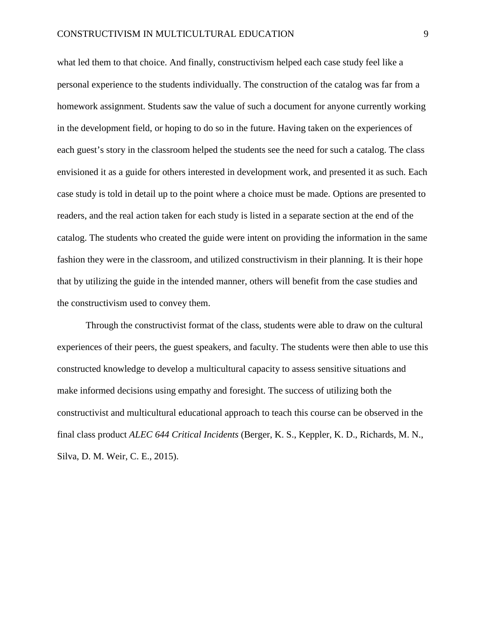what led them to that choice. And finally, constructivism helped each case study feel like a personal experience to the students individually. The construction of the catalog was far from a homework assignment. Students saw the value of such a document for anyone currently working in the development field, or hoping to do so in the future. Having taken on the experiences of each guest's story in the classroom helped the students see the need for such a catalog. The class envisioned it as a guide for others interested in development work, and presented it as such. Each case study is told in detail up to the point where a choice must be made. Options are presented to readers, and the real action taken for each study is listed in a separate section at the end of the catalog. The students who created the guide were intent on providing the information in the same fashion they were in the classroom, and utilized constructivism in their planning. It is their hope that by utilizing the guide in the intended manner, others will benefit from the case studies and the constructivism used to convey them.

Through the constructivist format of the class, students were able to draw on the cultural experiences of their peers, the guest speakers, and faculty. The students were then able to use this constructed knowledge to develop a multicultural capacity to assess sensitive situations and make informed decisions using empathy and foresight. The success of utilizing both the constructivist and multicultural educational approach to teach this course can be observed in the final class product *ALEC 644 Critical Incidents* (Berger, K. S., Keppler, K. D., Richards, M. N., Silva, D. M. Weir, C. E., 2015).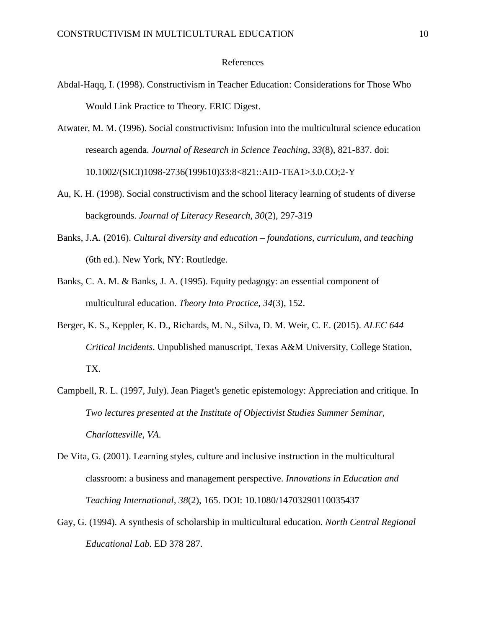## References

- Abdal-Haqq, I. (1998). Constructivism in Teacher Education: Considerations for Those Who Would Link Practice to Theory. ERIC Digest.
- Atwater, M. M. (1996). Social constructivism: Infusion into the multicultural science education research agenda. *Journal of Research in Science Teaching*, *33*(8), 821-837. doi: 10.1002/(SICI)1098-2736(199610)33:8<821::AID-TEA1>3.0.CO;2-Y
- Au, K. H. (1998). Social constructivism and the school literacy learning of students of diverse backgrounds. *Journal of Literacy Research*, *30*(2), 297-319
- Banks, J.A. (2016). *Cultural diversity and education – foundations, curriculum, and teaching* (6th ed.). New York, NY: Routledge.
- Banks, C. A. M. & Banks, J. A. (1995). Equity pedagogy: an essential component of multicultural education. *Theory Into Practice, 34*(3), 152.
- Berger, K. S., Keppler, K. D., Richards, M. N., Silva, D. M. Weir, C. E. (2015). *ALEC 644 Critical Incidents*. Unpublished manuscript, Texas A&M University, College Station, TX.
- Campbell, R. L. (1997, July). Jean Piaget's genetic epistemology: Appreciation and critique. In *Two lectures presented at the Institute of Objectivist Studies Summer Seminar, Charlottesville, VA*.
- De Vita, G. (2001). Learning styles, culture and inclusive instruction in the multicultural classroom: a business and management perspective. *Innovations in Education and Teaching International, 38*(2), 165. DOI: 10.1080/14703290110035437
- Gay, G. (1994). A synthesis of scholarship in multicultural education*. North Central Regional Educational Lab.* ED 378 287.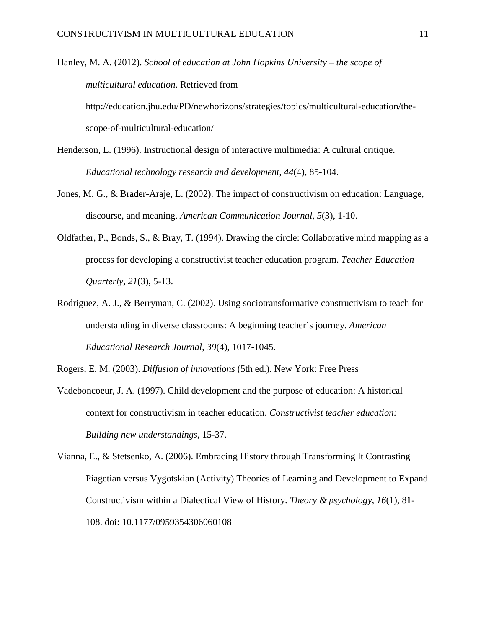Hanley, M. A. (2012). *School of education at John Hopkins University – the scope of multicultural education*. Retrieved from http://education.jhu.edu/PD/newhorizons/strategies/topics/multicultural-education/thescope-of-multicultural-education/

- Henderson, L. (1996). Instructional design of interactive multimedia: A cultural critique. *Educational technology research and development*, *44*(4), 85-104.
- Jones, M. G., & Brader-Araje, L. (2002). The impact of constructivism on education: Language, discourse, and meaning. *American Communication Journal*, *5*(3), 1-10.
- Oldfather, P., Bonds, S., & Bray, T. (1994). Drawing the circle: Collaborative mind mapping as a process for developing a constructivist teacher education program. *Teacher Education Quarterly, 21*(3), 5-13.
- Rodriguez, A. J., & Berryman, C. (2002). Using sociotransformative constructivism to teach for understanding in diverse classrooms: A beginning teacher's journey. *American Educational Research Journal*, *39*(4), 1017-1045.

Rogers, E. M. (2003). *Diffusion of innovations* (5th ed.). New York: Free Press

Vadeboncoeur, J. A. (1997). Child development and the purpose of education: A historical context for constructivism in teacher education. *Constructivist teacher education: Building new understandings*, 15-37.

Vianna, E., & Stetsenko, A. (2006). Embracing History through Transforming It Contrasting Piagetian versus Vygotskian (Activity) Theories of Learning and Development to Expand Constructivism within a Dialectical View of History. *Theory & psychology*, *16*(1), 81- 108. doi: 10.1177/0959354306060108